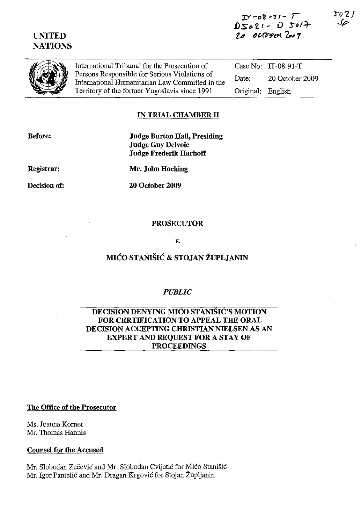



International Tribunal for the Prosecution of Persons Responsible for Serious Violations of International Humanitarian Law Committed in the Territory of the former Yugoslavia since 1991

Case No: IT-08-91-T Date: 20 October 2009 Original: English

### IN TRIAL CHAMBER II

Before:

**Judge Burton Hall, Presiding Judge Guy Delvoie Judge Frederik Harhoff** 

Registrar:

Decision of:

Mr. John Hocking

**20 October 2009** 

#### **PROSECUTOR**

#### ν.

## MIĆO STANIŠIĆ & STOJAN ŽUPLJANIN

### **PUBLIC**

### DECISION DENYING MIĆO STANIŠIĆ'S MOTION FOR CERTIFICATION TO APPEAL THE ORAL DECISION ACCEPTING CHRISTIAN NIELSEN AS AN **EXPERT AND REQUEST FOR A STAY OF PROCEEDINGS**

#### The Office of the Prosecutor

Ms. Joanna Korner Mr. Thomas Hannis

#### **Counsel for the Accused**

Mr. Slobodan Zečević and Mr. Slobodan Cvijetić for Mićo Stanišić Mr. Igor Pantelić and Mr. Dragan Krgović for Stojan Župljanin

J021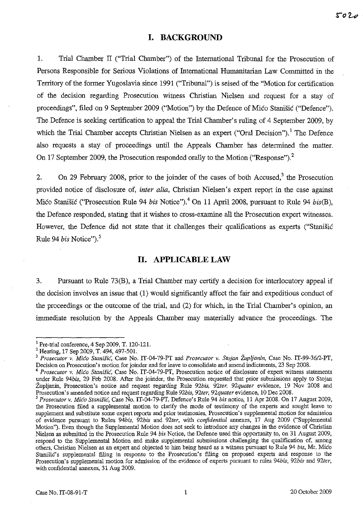## **1. BACKGROUND**

1. Trial Chamber П ("Trial Chamber") of the International Tribunal for the Prosecution of Persons Responsible for Serious Violations of International Humanitarian Law Committed in the Territory of the former Yugoslavia since 1991 ("Tribunal") is seised of the "Motion for certification of the decision regarding Prosecution witness Christian Nielsen and request for а stay of proceedings", filed on 9 September 2009 ("Motion") by the Defence of Mico Stanisic ("Defence"). The Defence is seeking certification to appeal the Trial Chamber's ruling of 4 September 2009, by which the Trial Chamber accepts Christian Nielsen as an expert ("Oral Decision").<sup>1</sup> The Defence also requests а stay of proceedings until the Appeals Chamber has determined the matter. On 17 September 2009, the Prosecution responded orally to the Motion ("Response").<sup>2</sup>

2. On 29 February 2008, prior to the joinder of the cases of both Accused,<sup>3</sup> the Prosecution provided notice of disclosure of, *inter alia,* Christian Nielsen's expert report in the case against Mico Stanišic ("Prosecution Rule 94 *bis* Notice").<sup>4</sup> On 11 April 2008, pursuant to Rule 94 *bis(B)*, the Defence responded, stating that it wishes to cross-examine all the Prosecution expert witnesses. However, the Defence did not state that it challenges their qualifications as experts ("Stanišić Rule 94 *bis* Notice").<sup>5</sup>

### **11. APPLICABLE LAW**

3. Pursuant to Rule 73(В), а Trial Chamber тау certify а decision for interlocutory appeal if the decision involves an issue that (1) would significantly affect the fair and expeditious conduct of the proceedings or the outcome of the trial, and (2) for which, in the Trial Chamber's opinion, an immediate resolution Ьу the Appeals Chamber тау materially advance the proceedings. The

<sup>1</sup> Pre-trial conference, 4 Sep 2009, Т. 120-121.

<sup>&</sup>lt;sup>2</sup> Hearing, 17 Sep 2009, T. 494, 497-501.

<sup>&</sup>lt;sup>3</sup> Prosecutor v. Mico Stanišic, Case No. IT-04-79-PT and Prosecutor v. Stojan Župljanin, Case No. IT-99-36/2-PT, Decision on Prosecution's motion for joinder and for leave to consolidate and amend indictments, 23 Sep 2008.

*Prosecutor v. Mico Stanišić*, Case No. IT-04-79-PT, Prosecution notice of disclosure of expert witness statements under Rule 94bis, 29 Feb 2008. After the joinder, the Prosecution requested that prior submissions apply to Stojan Zupljanin, Prosecution's notice and requesl regarding Rule *92bis, 92ter, 92quater* evidence, 19 Nov 2008 and Prosecution's amended notice and requesl regarding Rule *92bis, 92ter, 92quater* evidence, 10 Dec 2008.

<sup>&</sup>lt;sup>5</sup> Prosecutor v. Mico Stanišic, Case No. IT-04-79-PT, Defence's Rule 94 *bis* notice, 11 Apr 2008. On 17 August 2009, the Prosecution filed a supplemental motion to clarify the mode of testimony of the experts and sought leave to supplement and substitute some expert reports and prior testimonies, Prosecution's supplemental motion for admission of evidence pursuant (о Rules *94bis, 92bis* and *92ter,* with *confidential* annexes, 17 Aug 2009 ("Supplemental Motion"). Even though the Supplemental Motion does not seek to introduce any changes in the evidence of Christian Nielsen as submitted in the Prosecution Rule 94 *bis* Notice, the Defence used this opportunity to, on 31 August 2009, respond to the Supplemental Motion and make supplemental submissions challenging the qualification of, among others, Christian Nielsen аБ an expert and objected (о him being heard as а witness pursuant 10 Rule 94 *bis,* Мr. Мјсо Stanišic's supplemental filing in response to the Prosecution's filing on proposed experts and response to the Prosecution's supplemental motion for admission of the evidence of experts pursuant to rules 94bis, 92bis and 92ter, with confidential annexes, 31 Aug 2009.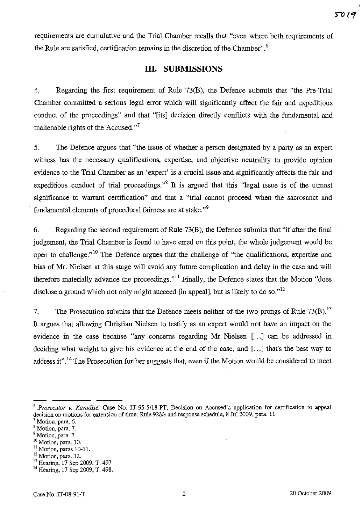requirements are cumиlative and the Trial Chamber recalls that "even where both requirements of the Rule are satisfied, certification remains in the discretion of the Chamber".<sup>6</sup>

## **III.** SUВМISSЮNS

4. Regarding the first requirement of Rule 73(В), the Defence submits that "the Pre-Trial Chamber committed а serious legal error which will significantly affect the fair and expeditious conduct of the proceedings" and that "[its] decision directly conflicts with the fundamental and inalienable rights of the Accused. $n^7$ 

5. The Defence argues that "the issue of whether a person designated by a party as an expert witness has the necessary qualifications, expertise, and objective neutrality to provide opinion evidence to the Trial Chamber as an 'expert' is а crucial issue and significantly affects the fair and expeditious conduct of trial proceedings.<sup>38</sup> It is argued that this "legal issue is of the utmost significance to warrant certification" and that а "trial cannot proceed when the sacrosanct and fundamental elements of procedural fairness are at stake."<sup>9</sup>

6. Regarding the second requirement of Rule 73(B), the Defence submits that "if after the final judgement, the Trial Chamber is found to have erred оп this point, the whole judgement would Ье open to challenge."<sup>10</sup> The Defence argues that the challenge of "the qualifications, expertise and bias of Мr. Nielsen at this stage will avoid any future complication and delay in the case and will therefore materially advance the proceedings."<sup>11</sup> Finally, the Defence states that the Motion "does" disclose a ground which not only might succeed [in appeal], but is likely to do so." $12$ 

7. The Prosecution submits that the Defence meets neither of the two prongs of Rule 73(B).<sup>13</sup> It argues that allowing Christian Nielsen to testify as an expert would not have an impact оп the evidence in the case because "any concerns regarding Mr. Nielsen [...] can be addressed in deciding what weight to give his evidence at the end of the case, and [...] that's the best way to address it".<sup>14</sup> The Prosecution further suggests that, even if the Motion would be considered to meet

- <sup>9</sup> Motion, para. 7.
- <sup>10</sup> Motion, para. 10.
- <sup>11</sup> Motion, paras 10-11.

<sup>&</sup>lt;sup>6</sup> Prosecutor *v. Karadžić*, Case No. IT-95-5/18-PT, Decision on Accused's application for certification to appeal decision on motions for extension of time: Rule 92bis and response schedule, 8 Jul 2009, para. 11.

Motion, para. 6.

<sup>8</sup> Motion, para. 7.

<sup>&</sup>lt;sup>12</sup> Motion, para. 12.

<sup>13</sup> Hearing, 17 Sep 2009, Т. 497

<sup>14</sup> Hearing, 17 Sep 2009, Т. 498.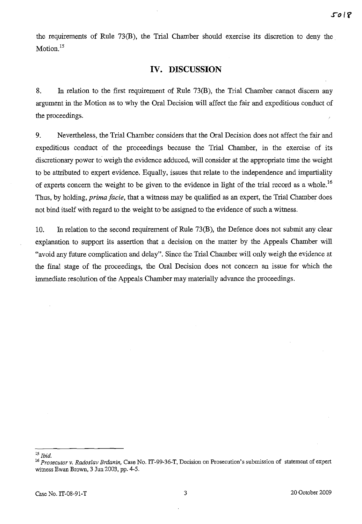the requirements of Rule 73(B), the Trial Chamber should exercise its discretion to deny the Motion.<sup>15</sup>

## **IV. DISCUSSION**

8. In relation to the first requirement of Rule 73(B), the Trial Chamber cannot discern any argument in the Motion as to why the Oral Decision will affect the fair and expeditious conduct of the proceedings.

9. Nevertheless, the Trial Chamber considers that the Oral Decision does not affect the fair and expeditious conduct of the proceedings because the Trial Chamber, in the exercise of its discretionary power to weigh the evidence adduced, will consider at the appropriate time the weight to be attributed to expert evidence. Equally, issues that relate to the independence and impartiality of experts concern the weight to be given to the evidence in light of the trial record as a whole.<sup>16</sup> Thus, by holding, *prima facie*, that a witness may be qualified as an expert, the Trial Chamber does not bind itself with regard to the weight to be assigned to the evidence of such a witness.

10. In relation to the second requirement of Rule  $73(B)$ , the Defence does not submit any clear explanation to support its assertion that a decision on the matter by the Appeals Chamber will "avoid any future complication and delay". Since the Trial Chamber will only weigh the evidence at the final stage of the proceedings, the Oral Decision does not concern an issue for which the immediate resolution of the Appeals Chamber may materially advance the proceedings.

 $^{\rm 15}$  Ibid.

<sup>&</sup>lt;sup>16</sup> Prosecutor v. Radoslav Brđanin, Case No. IT-99-36-T, Decision on Prosecution's submission of statement of expert witness Ewan Brown, 3 Jun 2003, pp. 4-5.